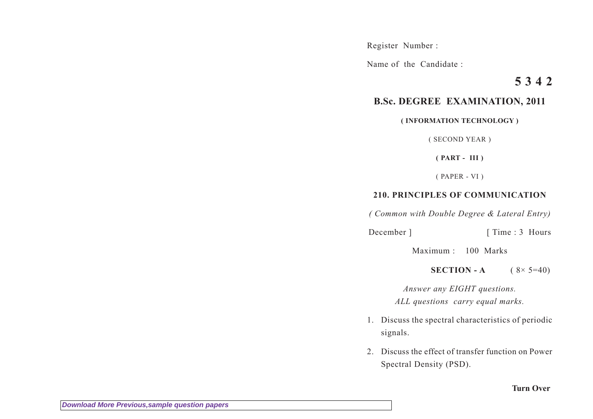Register Number :

Name of the Candidate :

## **5 3 4 2**

## **B.Sc. DEGREE EXAMINATION, 2011**

## **( INFORMATION TECHNOLOGY )**

( SECOND YEAR )

**( PART - III )**

( PAPER - VI )

## **210. PRINCIPLES OF COMMUNICATION**

*( Common with Double Degree & Lateral Entry)*

December ] [ Time : 3 Hours

Maximum : 100 Marks

**SECTION - A**  $(8 \times 5=40)$ 

*Answer any EIGHT questions. ALL questions carry equal marks.*

- 1. Discuss the spectral characteristics of periodic signals.
- 2. Discuss the effect of transfer function on Power Spectral Density (PSD).

**Turn Over**